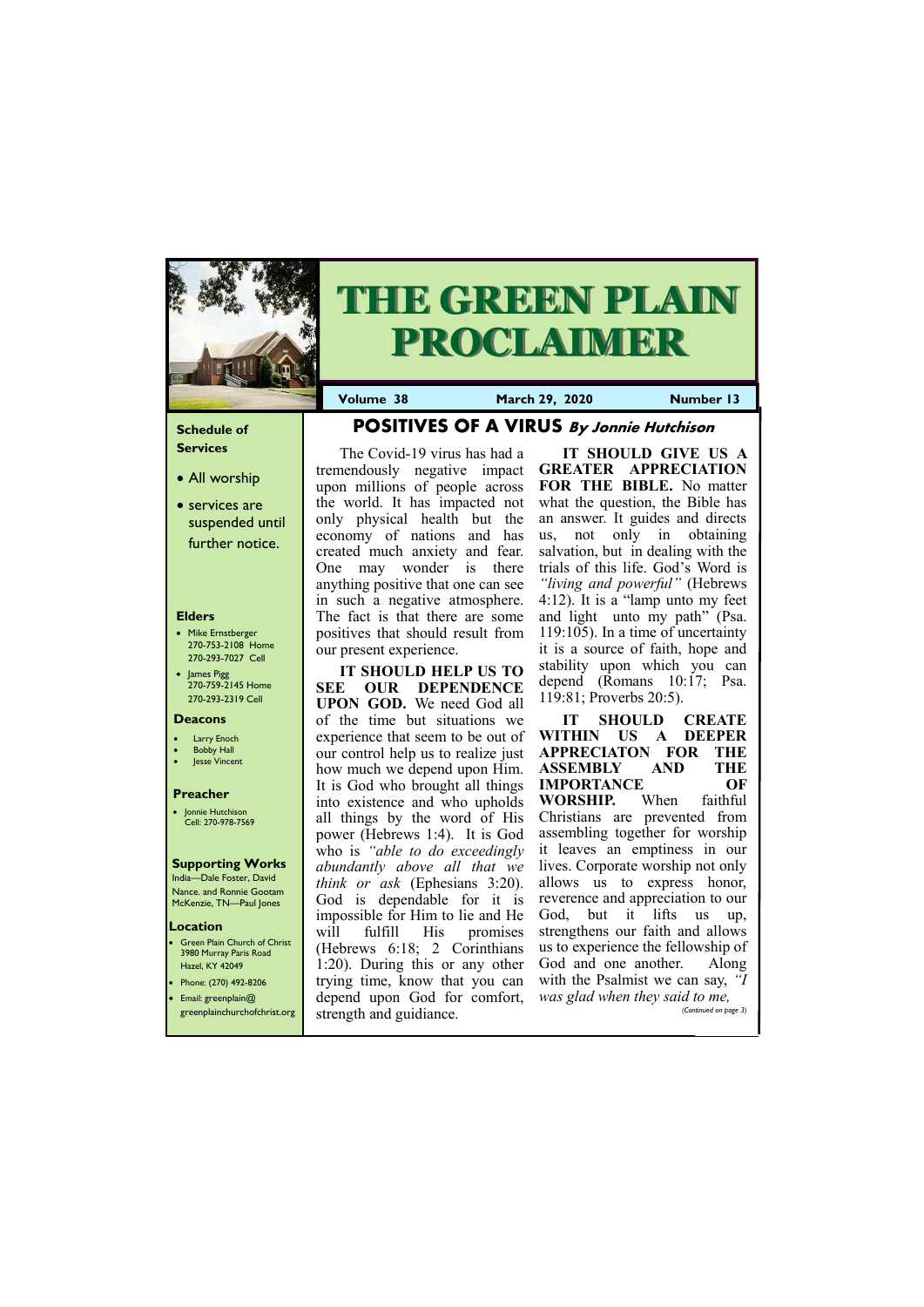#### **Schedule of Services**

- All worship
- services are suspended until further notice.

#### **Elders**

- Mike Ernstberger 270-753-2108 Home 270-293-7027 Cell
- James Pigg 270-759-2145 Home 270-293-2319 Cell

#### **Location**

• Green Plain Church of Christ 3980 Murray Paris Road Hazel, KY 42049 • Phone: (270) 492-8206



# **THE GREEN PLAIN PROCLAIMER**

**Volume 38 March 29, 2020 Number 13**

#### **Deacons**

- **Larry Enoch**
- **Bobby Hall**
- **Jesse Vincent**

#### **Preacher**

• Jonnie Hutchison Cell: 270-978-7569

#### **Supporting Works**

India—Dale Foster, David Nance. and Ronnie Gootam McKenzie, TN—Paul Jones

**POSITIVES OF A VIRUS By Jonnie Hutchison**

The Covid-19 virus has had a tremendously negative impact upon millions of people across the world. It has impacted not only physical health but the economy of nations and has created much anxiety and fear. One may wonder is there anything positive that one can see in such a negative atmosphere. The fact is that there are some positives that should result from our present experience.

**IT SHOULD HELP US TO SEE OUR DEPENDENCE UPON GOD.** We need God all of the time but situations we experience that seem to be out of our control help us to realize just how much we depend upon Him. It is God who brought all things into existence and who upholds all things by the word of His power (Hebrews 1:4). It is God who is *"able to do exceedingly abundantly above all that we think or ask* (Ephesians 3:20). God is dependable for it is impossible for Him to lie and He will fulfill His promises (Hebrews 6:18; 2 Corinthians 1:20). During this or any other trying time, know that you can

• Email: greenplain@ greenplainchurchofchrist.org depend upon God for comfort, *was glad when they said to me,* strength and guidiance. *(Continued on page 3)*

**IT SHOULD GIVE US A GREATER APPRECIATION FOR THE BIBLE.** No matter what the question, the Bible has an answer. It guides and directs us, not only in obtaining salvation, but in dealing with the trials of this life. God's Word is *"living and powerful"* (Hebrews 4:12). It is a "lamp unto my feet and light unto my path" (Psa. 119:105). In a time of uncertainty it is a source of faith, hope and stability upon which you can depend (Romans 10:17; Psa. 119:81; Proverbs 20:5).

**IT SHOULD CREATE WITHIN US A DEEPER APPRECIATON FOR THE ASSEMBLY AND THE IMPORTANCE OF WORSHIP.** When faithful Christians are prevented from assembling together for worship it leaves an emptiness in our lives. Corporate worship not only allows us to express honor, reverence and appreciation to our God, but it lifts us up, strengthens our faith and allows us to experience the fellowship of God and one another. Along with the Psalmist we can say, *"I*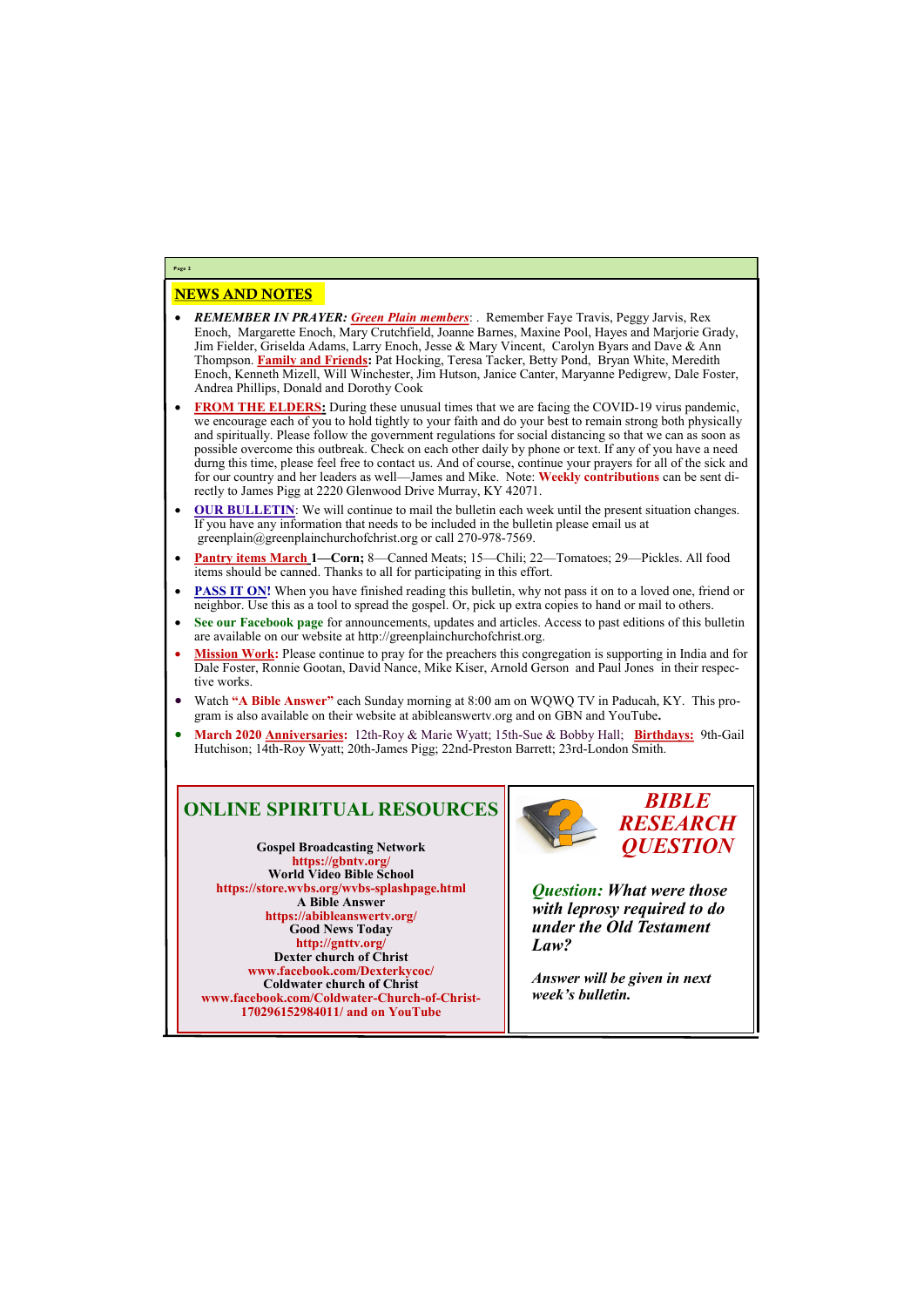## NEWS AND NOTES

- *REMEMBER IN PRAYER: Green Plain members*: . Remember Faye Travis, Peggy Jarvis, Rex Enoch, Margarette Enoch, Mary Crutchfield, Joanne Barnes, Maxine Pool, Hayes and Marjorie Grady, Jim Fielder, Griselda Adams, Larry Enoch, Jesse & Mary Vincent, Carolyn Byars and Dave & Ann Thompson. **Family and Friends:** Pat Hocking, Teresa Tacker, Betty Pond, Bryan White, Meredith Enoch, Kenneth Mizell, Will Winchester, Jim Hutson, Janice Canter, Maryanne Pedigrew, Dale Foster, Andrea Phillips, Donald and Dorothy Cook
- **FROM THE ELDERS:** During these unusual times that we are facing the COVID-19 virus pandemic, we encourage each of you to hold tightly to your faith and do your best to remain strong both physically and spiritually. Please follow the government regulations for social distancing so that we can as soon as possible overcome this outbreak. Check on each other daily by phone or text. If any of you have a need durng this time, please feel free to contact us. And of course, continue your prayers for all of the sick and for our country and her leaders as well—James and Mike. Note: **Weekly contributions** can be sent directly to James Pigg at 2220 Glenwood Drive Murray, KY 42071.
- **OUR BULLETIN:** We will continue to mail the bulletin each week until the present situation changes. If you have any information that needs to be included in the bulletin please email us at greenplain@greenplainchurchofchrist.org or call 270-978-7569.
- **Pantry items March 1—Corn;** 8—Canned Meats; 15—Chili; 22—Tomatoes; 29—Pickles. All food items should be canned. Thanks to all for participating in this effort.
- **PASS IT ON!** When you have finished reading this bulletin, why not pass it on to a loved one, friend or neighbor. Use this as a tool to spread the gospel. Or, pick up extra copies to hand or mail to others.
- **See our Facebook page** for announcements, updates and articles. Access to past editions of this bulletin are available on our website at http://greenplainchurchofchrist.org.
- **Mission Work:** Please continue to pray for the preachers this congregation is supporting in India and for Dale Foster, Ronnie Gootan, David Nance, Mike Kiser, Arnold Gerson and Paul Jones in their respective works.
- Watch **"A Bible Answer"** each Sunday morning at 8:00 am on WQWQ TV in Paducah, KY. This program is also available on their website at abibleanswertv.org and on GBN and YouTube**.**
- **March 2020 Anniversaries:** 12th-Roy & Marie Wyatt; 15th-Sue & Bobby Hall; **Birthdays:** 9th-Gail Hutchison; 14th-Roy Wyatt; 20th-James Pigg; 22nd-Preston Barrett; 23rd-London Smith.

**Page 2**

# **ONLINE SPIRITUAL RESOURCES**

**Gospel Broadcasting Network https://gbntv.org/ World Video Bible School https://store.wvbs.org/wvbs-splashpage.html A Bible Answer https://abibleanswertv.org/ Good News Today http://gnttv.org/ Dexter church of Christ www.facebook.com/Dexterkycoc/ Coldwater church of Christ**



**www.facebook.com/Coldwater-Church-of-Christ-170296152984011/ and on YouTube**

*BIBLE RESEARCH QUESTION*

*Question: What were those with leprosy required to do under the Old Testament Law?*

*Answer will be given in next* 

*week's bulletin.*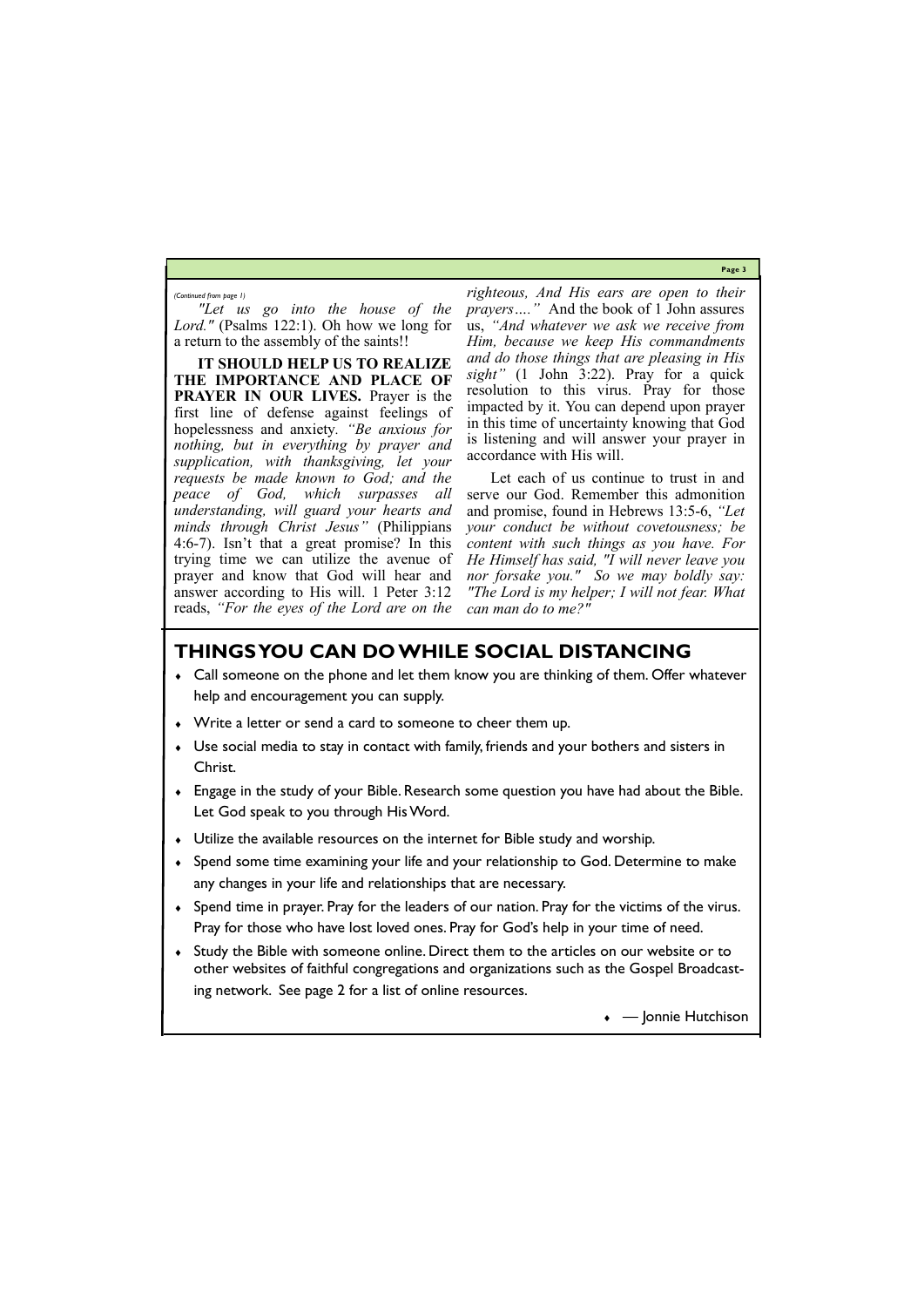**Page 3**

*"Let us go into the house of the Lord."* (Psalms 122:1). Oh how we long for a return to the assembly of the saints!!

**IT SHOULD HELP US TO REALIZE THE IMPORTANCE AND PLACE OF PRAYER IN OUR LIVES.** Prayer is the first line of defense against feelings of hopelessness and anxiety*. "Be anxious for nothing, but in everything by prayer and supplication, with thanksgiving, let your requests be made known to God; and the peace of God, which surpasses all understanding, will guard your hearts and minds through Christ Jesus"* (Philippians 4:6-7). Isn't that a great promise? In this trying time we can utilize the avenue of prayer and know that God will hear and answer according to His will. 1 Peter 3:12 reads, *"For the eyes of the Lord are on the* 

*righteous, And His ears are open to their prayers…."* And the book of 1 John assures us, *"And whatever we ask we receive from Him, because we keep His commandments and do those things that are pleasing in His sight"* (1 John 3:22). Pray for a quick resolution to this virus. Pray for those impacted by it. You can depend upon prayer in this time of uncertainty knowing that God is listening and will answer your prayer in accordance with His will.

Let each of us continue to trust in and serve our God. Remember this admonition and promise, found in Hebrews 13:5-6, *"Let your conduct be without covetousness; be content with such things as you have. For He Himself has said, "I will never leave you nor forsake you." So we may boldly say: "The Lord is my helper; I will not fear. What can man do to me?"*

*(Continued from page 1)*

# **THINGS YOU CAN DO WHILE SOCIAL DISTANCING**

- Call someone on the phone and let them know you are thinking of them. Offer whatever help and encouragement you can supply.
- Write a letter or send a card to someone to cheer them up.
- Use social media to stay in contact with family, friends and your bothers and sisters in Christ.
- Engage in the study of your Bible. Research some question you have had about the Bible. Let God speak to you through His Word.
- Utilize the available resources on the internet for Bible study and worship.
- Spend some time examining your life and your relationship to God. Determine to make any changes in your life and relationships that are necessary.
- Spend time in prayer. Pray for the leaders of our nation. Pray for the victims of the virus. Pray for those who have lost loved ones. Pray for God's help in your time of need.
- Study the Bible with someone online. Direct them to the articles on our website or to other websites of faithful congregations and organizations such as the Gospel Broadcast-

ing network. See page 2 for a list of online resources.

• — Jonnie Hutchison